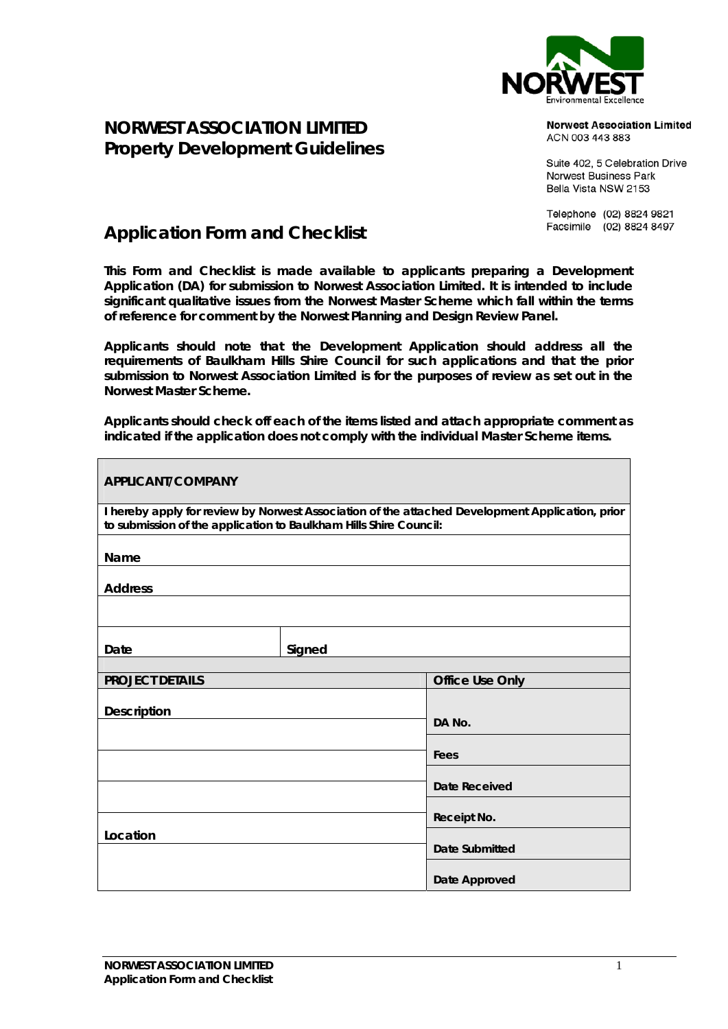

## **Norwest Association Limited** ACN 003 443 883

Suite 402, 5 Celebration Drive Norwest Business Park Bella Vista NSW 2153

Telephone (02) 8824 9821 Facsimile (02) 8824 8497

## **Application Form and Checklist**

**NORWEST ASSOCIATION LIMITED Property Development Guidelines** 

**This Form and Checklist is made available to applicants preparing a Development Application (DA) for submission to Norwest Association Limited. It is intended to include significant qualitative issues from the Norwest Master Scheme which fall within the terms of reference for comment by the Norwest Planning and Design Review Panel.** 

**Applicants should note that the Development Application should address all the requirements of Baulkham Hills Shire Council for such applications and that the prior submission to Norwest Association Limited is for the purposes of review as set out in the Norwest Master Scheme.** 

**Applicants should check off each of the items listed and attach appropriate comment as indicated if the application does not comply with the individual Master Scheme items.** 

| <b>APPLICANT/COMPANY</b>                                                                                                                                             |        |                        |  |  |  |  |  |
|----------------------------------------------------------------------------------------------------------------------------------------------------------------------|--------|------------------------|--|--|--|--|--|
| I hereby apply for review by Norwest Association of the attached Development Application, prior<br>to submission of the application to Baulkham Hills Shire Council: |        |                        |  |  |  |  |  |
| Name                                                                                                                                                                 |        |                        |  |  |  |  |  |
| <b>Address</b>                                                                                                                                                       |        |                        |  |  |  |  |  |
|                                                                                                                                                                      |        |                        |  |  |  |  |  |
| Date                                                                                                                                                                 | Signed |                        |  |  |  |  |  |
|                                                                                                                                                                      |        |                        |  |  |  |  |  |
| <b>PROJECT DETAILS</b>                                                                                                                                               |        | <b>Office Use Only</b> |  |  |  |  |  |
| <b>Description</b>                                                                                                                                                   |        | DA No.                 |  |  |  |  |  |
|                                                                                                                                                                      |        |                        |  |  |  |  |  |
|                                                                                                                                                                      |        | Fees                   |  |  |  |  |  |
|                                                                                                                                                                      |        | <b>Date Received</b>   |  |  |  |  |  |
|                                                                                                                                                                      |        |                        |  |  |  |  |  |
|                                                                                                                                                                      |        | Receipt No.            |  |  |  |  |  |
| Location                                                                                                                                                             |        | Date Submitted         |  |  |  |  |  |
|                                                                                                                                                                      |        | Date Approved          |  |  |  |  |  |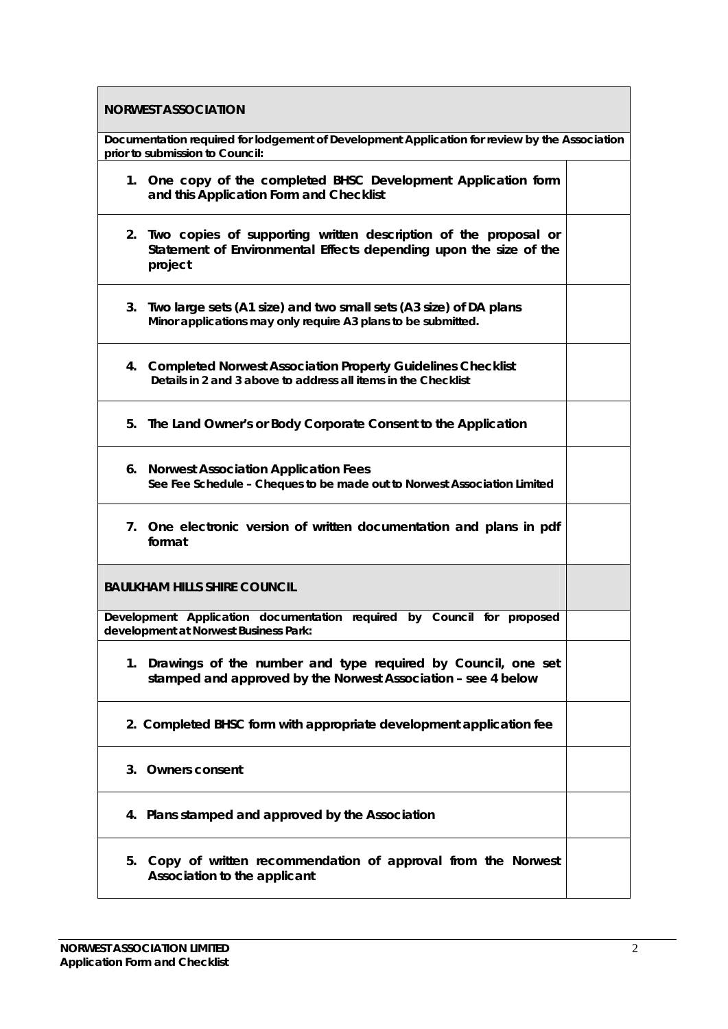| <b>NORWEST ASSOCIATION</b>                                                                                                                         |  |  |  |  |  |  |  |
|----------------------------------------------------------------------------------------------------------------------------------------------------|--|--|--|--|--|--|--|
| Documentation required for lodgement of Development Application for review by the Association<br>prior to submission to Council:                   |  |  |  |  |  |  |  |
| 1. One copy of the completed BHSC Development Application form<br>and this Application Form and Checklist                                          |  |  |  |  |  |  |  |
| 2. Two copies of supporting written description of the proposal or<br>Statement of Environmental Effects depending upon the size of the<br>project |  |  |  |  |  |  |  |
| 3. Two large sets (A1 size) and two small sets (A3 size) of DA plans<br>Minor applications may only require A3 plans to be submitted.              |  |  |  |  |  |  |  |
| 4. Completed Norwest Association Property Guidelines Checklist<br>Details in 2 and 3 above to address all items in the Checklist                   |  |  |  |  |  |  |  |
| 5. The Land Owner's or Body Corporate Consent to the Application                                                                                   |  |  |  |  |  |  |  |
| 6. Norwest Association Application Fees<br>See Fee Schedule - Cheques to be made out to Norwest Association Limited                                |  |  |  |  |  |  |  |
| 7. One electronic version of written documentation and plans in pdf<br>format                                                                      |  |  |  |  |  |  |  |
| <b>BAULKHAM HILLS SHIRE COUNCIL</b>                                                                                                                |  |  |  |  |  |  |  |
| Development Application documentation required by Council for proposed<br>development at Norwest Business Park:                                    |  |  |  |  |  |  |  |
| 1. Drawings of the number and type required by Council, one set<br>stamped and approved by the Norwest Association - see 4 below                   |  |  |  |  |  |  |  |
| 2. Completed BHSC form with appropriate development application fee                                                                                |  |  |  |  |  |  |  |
| 3. Owners consent                                                                                                                                  |  |  |  |  |  |  |  |
| 4. Plans stamped and approved by the Association                                                                                                   |  |  |  |  |  |  |  |
| Copy of written recommendation of approval from the Norwest<br>5.<br>Association to the applicant                                                  |  |  |  |  |  |  |  |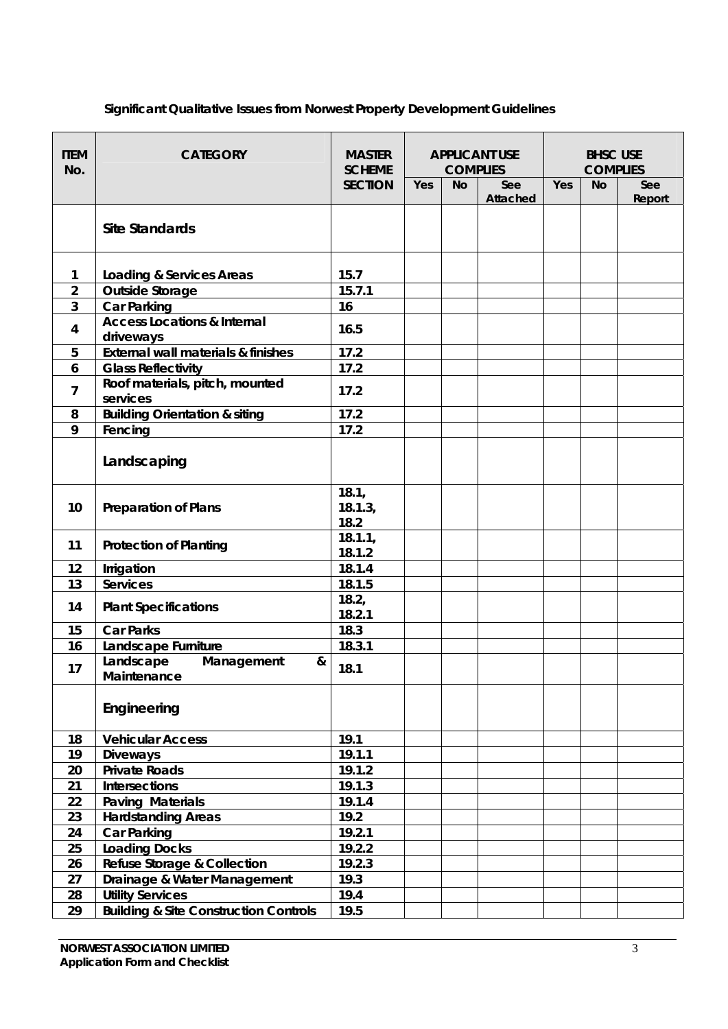| <b>ITEM</b><br>No. | <b>CATEGORY</b>                                     | <b>MASTER</b><br><b>SCHEME</b> | <b>APPLICANT USE</b><br><b>COMPLIES</b> |           |          | <b>BHSC USE</b><br><b>COMPLIES</b> |           |        |
|--------------------|-----------------------------------------------------|--------------------------------|-----------------------------------------|-----------|----------|------------------------------------|-----------|--------|
|                    |                                                     | <b>SECTION</b>                 | Yes                                     | <b>No</b> | See      | Yes                                | <b>No</b> | See    |
|                    | <b>Site Standards</b>                               |                                |                                         |           | Attached |                                    |           | Report |
| 1                  | <b>Loading &amp; Services Areas</b>                 | 15.7                           |                                         |           |          |                                    |           |        |
| $\overline{2}$     | <b>Outside Storage</b>                              | 15.7.1                         |                                         |           |          |                                    |           |        |
| 3                  | <b>Car Parking</b>                                  | 16                             |                                         |           |          |                                    |           |        |
| 4                  | <b>Access Locations &amp; Internal</b><br>driveways | 16.5                           |                                         |           |          |                                    |           |        |
| 5                  | <b>External wall materials &amp; finishes</b>       | 17.2                           |                                         |           |          |                                    |           |        |
| 6                  | <b>Glass Reflectivity</b>                           | 17.2                           |                                         |           |          |                                    |           |        |
| 7                  | Roof materials, pitch, mounted<br>services          | 17.2                           |                                         |           |          |                                    |           |        |
| 8                  | <b>Building Orientation &amp; siting</b>            | 17.2                           |                                         |           |          |                                    |           |        |
| 9                  | Fencing                                             | 17.2                           |                                         |           |          |                                    |           |        |
|                    | Landscaping                                         |                                |                                         |           |          |                                    |           |        |
| 10                 | <b>Preparation of Plans</b>                         | 18.1,<br>18.1.3,<br>18.2       |                                         |           |          |                                    |           |        |
| 11                 | <b>Protection of Planting</b>                       | 18.1.1,<br>18.1.2              |                                         |           |          |                                    |           |        |
| 12                 | Irrigation                                          | 18.1.4                         |                                         |           |          |                                    |           |        |
| 13                 | <b>Services</b>                                     | 18.1.5                         |                                         |           |          |                                    |           |        |
| 14                 | <b>Plant Specifications</b>                         | 18.2,<br>18.2.1                |                                         |           |          |                                    |           |        |
| 15                 | <b>Car Parks</b>                                    | 18.3                           |                                         |           |          |                                    |           |        |
| 16                 | Landscape Furniture                                 | 18.3.1                         |                                         |           |          |                                    |           |        |
| 17                 | Landscape<br>Management<br>&<br>Maintenance         | 18.1                           |                                         |           |          |                                    |           |        |
|                    | Engineering                                         |                                |                                         |           |          |                                    |           |        |
| 18                 | <b>Vehicular Access</b>                             | 19.1                           |                                         |           |          |                                    |           |        |
| 19                 | <b>Diveways</b>                                     | 19.1.1                         |                                         |           |          |                                    |           |        |
| 20                 | <b>Private Roads</b>                                | 19.1.2                         |                                         |           |          |                                    |           |        |
| 21                 | <b>Intersections</b>                                | 19.1.3                         |                                         |           |          |                                    |           |        |
| 22                 | Paving Materials                                    | 19.1.4                         |                                         |           |          |                                    |           |        |
| 23                 | <b>Hardstanding Areas</b>                           | 19.2                           |                                         |           |          |                                    |           |        |
| 24                 | <b>Car Parking</b>                                  | 19.2.1                         |                                         |           |          |                                    |           |        |
| 25                 | <b>Loading Docks</b>                                | 19.2.2                         |                                         |           |          |                                    |           |        |
| 26                 | <b>Refuse Storage &amp; Collection</b>              | 19.2.3                         |                                         |           |          |                                    |           |        |
| 27                 | Drainage & Water Management                         | 19.3                           |                                         |           |          |                                    |           |        |
| 28                 | <b>Utility Services</b>                             | 19.4                           |                                         |           |          |                                    |           |        |
| 29                 | <b>Building &amp; Site Construction Controls</b>    | 19.5                           |                                         |           |          |                                    |           |        |

## **Significant Qualitative Issues from Norwest Property Development Guidelines**